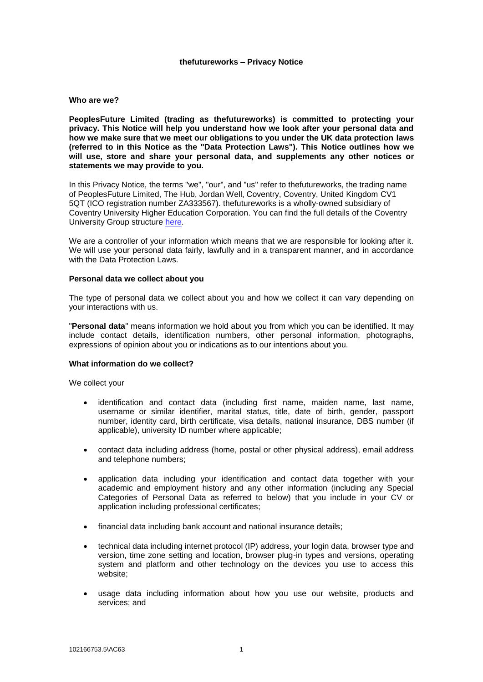#### **thefutureworks – Privacy Notice**

#### **Who are we?**

**PeoplesFuture Limited (trading as thefutureworks) is committed to protecting your privacy. This Notice will help you understand how we look after your personal data and how we make sure that we meet our obligations to you under the UK data protection laws (referred to in this Notice as the "Data Protection Laws"). This Notice outlines how we will use, store and share your personal data, and supplements any other notices or statements we may provide to you.**

In this Privacy Notice, the terms "we", "our", and "us" refer to thefutureworks, the trading name of PeoplesFuture Limited, The Hub, Jordan Well, Coventry, Coventry, United Kingdom CV1 5QT (ICO registration number ZA333567). thefutureworks is a wholly-owned subsidiary of Coventry University Higher Education Corporation. You can find the full details of the Coventry University Group structure [here.](https://www.coventry.ac.uk/the-university/about-coventry-university/coventry-university-group-explained/)

We are a controller of your information which means that we are responsible for looking after it. We will use your personal data fairly, lawfully and in a transparent manner, and in accordance with the Data Protection Laws.

#### **Personal data we collect about you**

The type of personal data we collect about you and how we collect it can vary depending on your interactions with us.

"**Personal data**" means information we hold about you from which you can be identified. It may include contact details, identification numbers, other personal information, photographs, expressions of opinion about you or indications as to our intentions about you.

## **What information do we collect?**

We collect your

- identification and contact data (including first name, maiden name, last name, username or similar identifier, marital status, title, date of birth, gender, passport number, identity card, birth certificate, visa details, national insurance, DBS number (if applicable), university ID number where applicable;
- contact data including address (home, postal or other physical address), email address and telephone numbers;
- application data including your identification and contact data together with your academic and employment history and any other information (including any Special Categories of Personal Data as referred to below) that you include in your CV or application including professional certificates;
- financial data including bank account and national insurance details;
- technical data including internet protocol (IP) address, your login data, browser type and version, time zone setting and location, browser plug-in types and versions, operating system and platform and other technology on the devices you use to access this website;
- usage data including information about how you use our website, products and services; and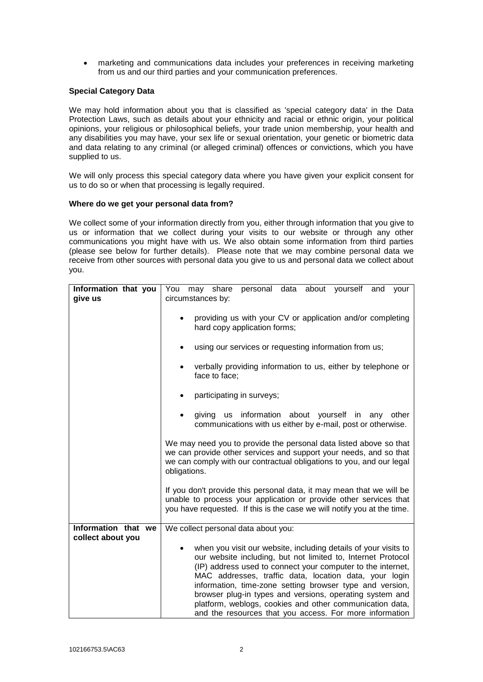marketing and communications data includes your preferences in receiving marketing from us and our third parties and your communication preferences.

# **Special Category Data**

We may hold information about you that is classified as 'special category data' in the Data Protection Laws, such as details about your ethnicity and racial or ethnic origin, your political opinions, your religious or philosophical beliefs, your trade union membership, your health and any disabilities you may have, your sex life or sexual orientation, your genetic or biometric data and data relating to any criminal (or alleged criminal) offences or convictions, which you have supplied to us.

We will only process this special category data where you have given your explicit consent for us to do so or when that processing is legally required.

## **Where do we get your personal data from?**

We collect some of your information directly from you, either through information that you give to us or information that we collect during your visits to our website or through any other communications you might have with us. We also obtain some information from third parties (please see below for further details). Please note that we may combine personal data we receive from other sources with personal data you give to us and personal data we collect about you.

| Information that you<br>give us          | personal data about yourself<br>You<br>may share<br>and<br>your<br>circumstances by:                                                                                                                                                                                                                                                                                                                                                                                                                    |  |
|------------------------------------------|---------------------------------------------------------------------------------------------------------------------------------------------------------------------------------------------------------------------------------------------------------------------------------------------------------------------------------------------------------------------------------------------------------------------------------------------------------------------------------------------------------|--|
|                                          | providing us with your CV or application and/or completing<br>hard copy application forms;                                                                                                                                                                                                                                                                                                                                                                                                              |  |
|                                          | using our services or requesting information from us;                                                                                                                                                                                                                                                                                                                                                                                                                                                   |  |
|                                          | verbally providing information to us, either by telephone or<br>$\bullet$<br>face to face;                                                                                                                                                                                                                                                                                                                                                                                                              |  |
|                                          | participating in surveys;                                                                                                                                                                                                                                                                                                                                                                                                                                                                               |  |
|                                          | giving us information about yourself in any<br>other<br>$\bullet$<br>communications with us either by e-mail, post or otherwise.                                                                                                                                                                                                                                                                                                                                                                        |  |
|                                          | We may need you to provide the personal data listed above so that<br>we can provide other services and support your needs, and so that<br>we can comply with our contractual obligations to you, and our legal<br>obligations.                                                                                                                                                                                                                                                                          |  |
|                                          | If you don't provide this personal data, it may mean that we will be<br>unable to process your application or provide other services that<br>you have requested. If this is the case we will notify you at the time.                                                                                                                                                                                                                                                                                    |  |
| Information that we<br>collect about you | We collect personal data about you:                                                                                                                                                                                                                                                                                                                                                                                                                                                                     |  |
|                                          | when you visit our website, including details of your visits to<br>our website including, but not limited to, Internet Protocol<br>(IP) address used to connect your computer to the internet,<br>MAC addresses, traffic data, location data, your login<br>information, time-zone setting browser type and version,<br>browser plug-in types and versions, operating system and<br>platform, weblogs, cookies and other communication data,<br>and the resources that you access. For more information |  |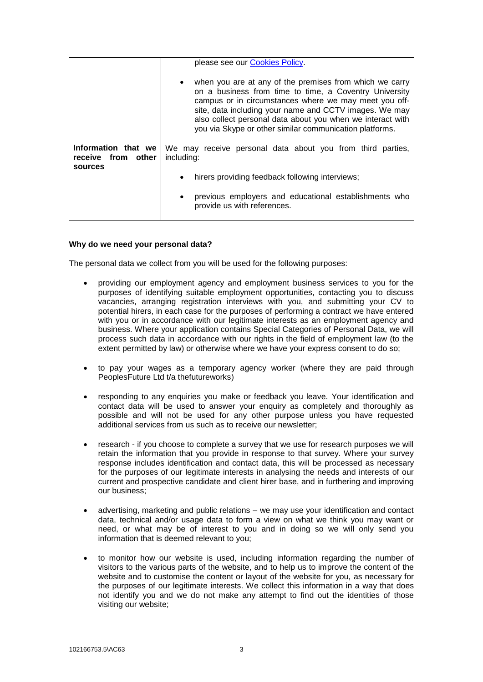|                                                      | please see our <b>Cookies Policy</b> .                                                                                                                                                                                                                                                                                                                                     |  |
|------------------------------------------------------|----------------------------------------------------------------------------------------------------------------------------------------------------------------------------------------------------------------------------------------------------------------------------------------------------------------------------------------------------------------------------|--|
|                                                      | when you are at any of the premises from which we carry<br>$\bullet$<br>on a business from time to time, a Coventry University<br>campus or in circumstances where we may meet you off-<br>site, data including your name and CCTV images. We may<br>also collect personal data about you when we interact with<br>you via Skype or other similar communication platforms. |  |
| Information that we<br>receive from other<br>sources | We may receive personal data about you from third parties,<br>including:                                                                                                                                                                                                                                                                                                   |  |
|                                                      | hirers providing feedback following interviews;<br>$\bullet$                                                                                                                                                                                                                                                                                                               |  |
|                                                      | previous employers and educational establishments who<br>$\bullet$<br>provide us with references.                                                                                                                                                                                                                                                                          |  |

# **Why do we need your personal data?**

The personal data we collect from you will be used for the following purposes:

- providing our employment agency and employment business services to you for the purposes of identifying suitable employment opportunities, contacting you to discuss vacancies, arranging registration interviews with you, and submitting your CV to potential hirers, in each case for the purposes of performing a contract we have entered with you or in accordance with our legitimate interests as an employment agency and business. Where your application contains Special Categories of Personal Data, we will process such data in accordance with our rights in the field of employment law (to the extent permitted by law) or otherwise where we have your express consent to do so;
- to pay your wages as a temporary agency worker (where they are paid through PeoplesFuture Ltd t/a thefutureworks)
- responding to any enquiries you make or feedback you leave. Your identification and contact data will be used to answer your enquiry as completely and thoroughly as possible and will not be used for any other purpose unless you have requested additional services from us such as to receive our newsletter;
- research if you choose to complete a survey that we use for research purposes we will retain the information that you provide in response to that survey. Where your survey response includes identification and contact data, this will be processed as necessary for the purposes of our legitimate interests in analysing the needs and interests of our current and prospective candidate and client hirer base, and in furthering and improving our business;
- advertising, marketing and public relations we may use your identification and contact data, technical and/or usage data to form a view on what we think you may want or need, or what may be of interest to you and in doing so we will only send you information that is deemed relevant to you;
- to monitor how our website is used, including information regarding the number of visitors to the various parts of the website, and to help us to improve the content of the website and to customise the content or layout of the website for you, as necessary for the purposes of our legitimate interests. We collect this information in a way that does not identify you and we do not make any attempt to find out the identities of those visiting our website;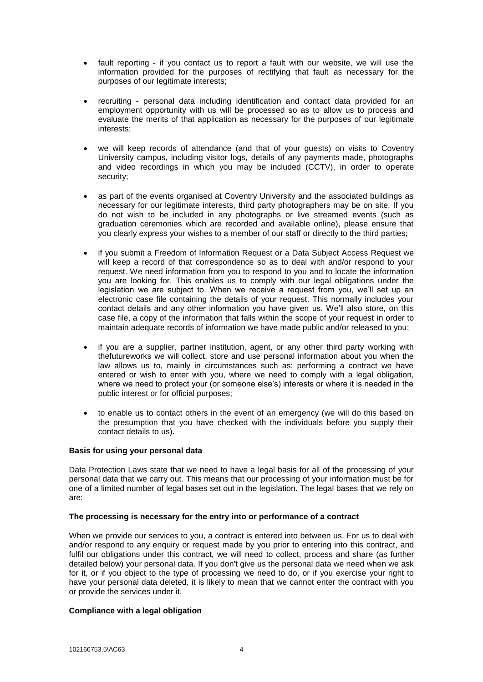- fault reporting if you contact us to report a fault with our website, we will use the information provided for the purposes of rectifying that fault as necessary for the purposes of our legitimate interests;
- recruiting personal data including identification and contact data provided for an employment opportunity with us will be processed so as to allow us to process and evaluate the merits of that application as necessary for the purposes of our legitimate interests;
- we will keep records of attendance (and that of your guests) on visits to Coventry University campus, including visitor logs, details of any payments made, photographs and video recordings in which you may be included (CCTV), in order to operate security;
- as part of the events organised at Coventry University and the associated buildings as necessary for our legitimate interests, third party photographers may be on site. If you do not wish to be included in any photographs or live streamed events (such as graduation ceremonies which are recorded and available online), please ensure that you clearly express your wishes to a member of our staff or directly to the third parties;
- if you submit a Freedom of Information Request or a Data Subject Access Request we will keep a record of that correspondence so as to deal with and/or respond to your request. We need information from you to respond to you and to locate the information you are looking for. This enables us to comply with our legal obligations under the legislation we are subject to. When we receive a request from you, we'll set up an electronic case file containing the details of your request. This normally includes your contact details and any other information you have given us. We'll also store, on this case file, a copy of the information that falls within the scope of your request in order to maintain adequate records of information we have made public and/or released to you;
- if you are a supplier, partner institution, agent, or any other third party working with thefutureworks we will collect, store and use personal information about you when the law allows us to, mainly in circumstances such as: performing a contract we have entered or wish to enter with you, where we need to comply with a legal obligation, where we need to protect your (or someone else's) interests or where it is needed in the public interest or for official purposes;
- to enable us to contact others in the event of an emergency (we will do this based on the presumption that you have checked with the individuals before you supply their contact details to us).

## **Basis for using your personal data**

Data Protection Laws state that we need to have a legal basis for all of the processing of your personal data that we carry out. This means that our processing of your information must be for one of a limited number of legal bases set out in the legislation. The legal bases that we rely on are:

## **The processing is necessary for the entry into or performance of a contract**

When we provide our services to you, a contract is entered into between us. For us to deal with and/or respond to any enquiry or request made by you prior to entering into this contract, and fulfil our obligations under this contract, we will need to collect, process and share (as further detailed below) your personal data. If you don't give us the personal data we need when we ask for it, or if you object to the type of processing we need to do, or if you exercise your right to have your personal data deleted, it is likely to mean that we cannot enter the contract with you or provide the services under it.

## **Compliance with a legal obligation**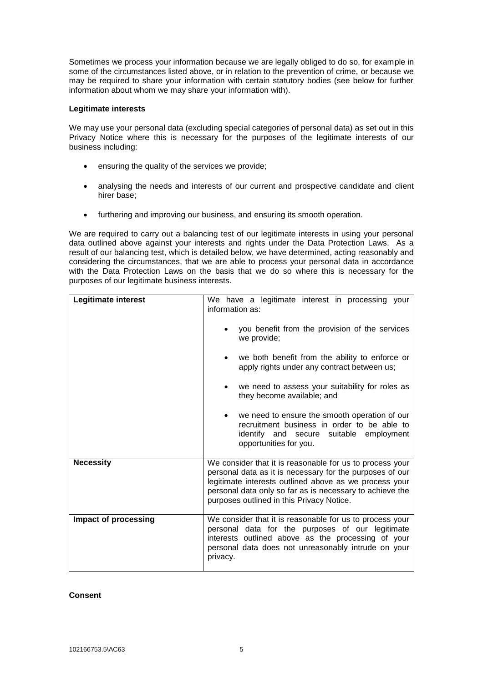Sometimes we process your information because we are legally obliged to do so, for example in some of the circumstances listed above, or in relation to the prevention of crime, or because we may be required to share your information with certain statutory bodies (see below for further information about whom we may share your information with).

# **Legitimate interests**

We may use your personal data (excluding special categories of personal data) as set out in this Privacy Notice where this is necessary for the purposes of the legitimate interests of our business including:

- ensuring the quality of the services we provide;
- analysing the needs and interests of our current and prospective candidate and client hirer base;
- furthering and improving our business, and ensuring its smooth operation.

We are required to carry out a balancing test of our legitimate interests in using your personal data outlined above against your interests and rights under the Data Protection Laws. As a result of our balancing test, which is detailed below, we have determined, acting reasonably and considering the circumstances, that we are able to process your personal data in accordance with the Data Protection Laws on the basis that we do so where this is necessary for the purposes of our legitimate business interests.

| Legitimate interest  | We have a legitimate interest in processing your<br>information as:                                                                                                                                                                                                                     |
|----------------------|-----------------------------------------------------------------------------------------------------------------------------------------------------------------------------------------------------------------------------------------------------------------------------------------|
|                      | you benefit from the provision of the services<br>we provide;                                                                                                                                                                                                                           |
|                      | we both benefit from the ability to enforce or<br>apply rights under any contract between us;                                                                                                                                                                                           |
|                      | we need to assess your suitability for roles as<br>they become available; and                                                                                                                                                                                                           |
|                      | we need to ensure the smooth operation of our<br>$\bullet$<br>recruitment business in order to be able to<br>identify and secure suitable employment<br>opportunities for you.                                                                                                          |
| <b>Necessity</b>     | We consider that it is reasonable for us to process your<br>personal data as it is necessary for the purposes of our<br>legitimate interests outlined above as we process your<br>personal data only so far as is necessary to achieve the<br>purposes outlined in this Privacy Notice. |
| Impact of processing | We consider that it is reasonable for us to process your<br>personal data for the purposes of our legitimate<br>interests outlined above as the processing of your<br>personal data does not unreasonably intrude on your<br>privacy.                                                   |

## **Consent**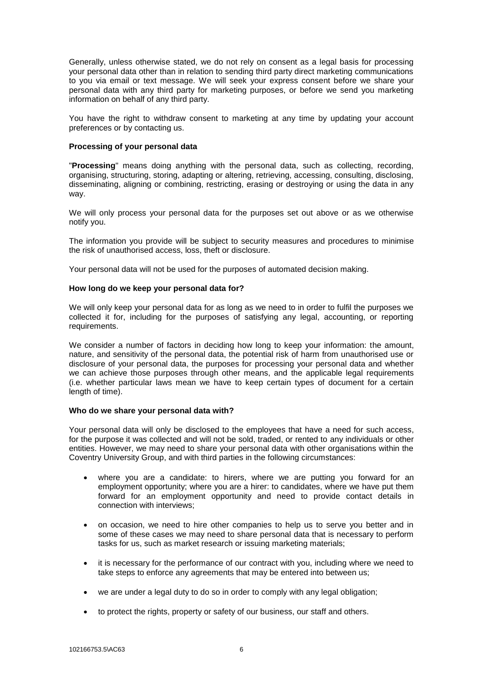Generally, unless otherwise stated, we do not rely on consent as a legal basis for processing your personal data other than in relation to sending third party direct marketing communications to you via email or text message. We will seek your express consent before we share your personal data with any third party for marketing purposes, or before we send you marketing information on behalf of any third party.

You have the right to withdraw consent to marketing at any time by updating your account preferences or by contacting us.

# **Processing of your personal data**

"**Processing**" means doing anything with the personal data, such as collecting, recording, organising, structuring, storing, adapting or altering, retrieving, accessing, consulting, disclosing, disseminating, aligning or combining, restricting, erasing or destroying or using the data in any way.

We will only process your personal data for the purposes set out above or as we otherwise notify you.

The information you provide will be subject to security measures and procedures to minimise the risk of unauthorised access, loss, theft or disclosure.

Your personal data will not be used for the purposes of automated decision making.

#### **How long do we keep your personal data for?**

We will only keep your personal data for as long as we need to in order to fulfil the purposes we collected it for, including for the purposes of satisfying any legal, accounting, or reporting requirements.

We consider a number of factors in deciding how long to keep your information: the amount, nature, and sensitivity of the personal data, the potential risk of harm from unauthorised use or disclosure of your personal data, the purposes for processing your personal data and whether we can achieve those purposes through other means, and the applicable legal requirements (i.e. whether particular laws mean we have to keep certain types of document for a certain length of time).

## **Who do we share your personal data with?**

Your personal data will only be disclosed to the employees that have a need for such access, for the purpose it was collected and will not be sold, traded, or rented to any individuals or other entities. However, we may need to share your personal data with other organisations within the Coventry University Group, and with third parties in the following circumstances:

- where you are a candidate: to hirers, where we are putting you forward for an employment opportunity; where you are a hirer: to candidates, where we have put them forward for an employment opportunity and need to provide contact details in connection with interviews;
- on occasion, we need to hire other companies to help us to serve you better and in some of these cases we may need to share personal data that is necessary to perform tasks for us, such as market research or issuing marketing materials;
- it is necessary for the performance of our contract with you, including where we need to take steps to enforce any agreements that may be entered into between us;
- we are under a legal duty to do so in order to comply with any legal obligation;
- to protect the rights, property or safety of our business, our staff and others.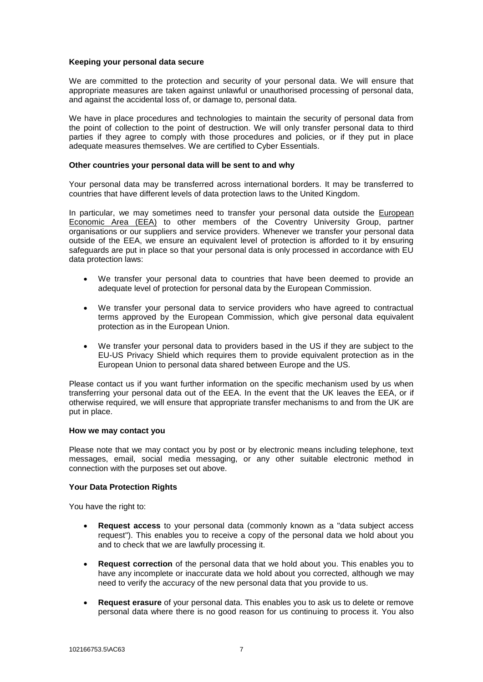## **Keeping your personal data secure**

We are committed to the protection and security of your personal data. We will ensure that appropriate measures are taken against unlawful or unauthorised processing of personal data, and against the accidental loss of, or damage to, personal data.

We have in place procedures and technologies to maintain the security of personal data from the point of collection to the point of destruction. We will only transfer personal data to third parties if they agree to comply with those procedures and policies, or if they put in place adequate measures themselves. We are certified to Cyber Essentials.

### **Other countries your personal data will be sent to and why**

Your personal data may be transferred across international borders. It may be transferred to countries that have different levels of data protection laws to the United Kingdom.

In particular, we may sometimes need to transfer your personal data outside the European [Economic Area \(EEA\)](https://www.gov.uk/eu-eea) to other members of the Coventry University Group, partner organisations or our suppliers and service providers. Whenever we transfer your personal data outside of the EEA, we ensure an equivalent level of protection is afforded to it by ensuring safeguards are put in place so that your personal data is only processed in accordance with EU data protection laws:

- We transfer your personal data to countries that have been deemed to provide an adequate level of protection for personal data by the European Commission.
- We transfer your personal data to service providers who have agreed to contractual terms approved by the European Commission, which give personal data equivalent protection as in the European Union.
- We transfer your personal data to providers based in the US if they are subject to the EU-US Privacy Shield which requires them to provide equivalent protection as in the European Union to personal data shared between Europe and the US.

Please contact us if you want further information on the specific mechanism used by us when transferring your personal data out of the EEA. In the event that the UK leaves the EEA, or if otherwise required, we will ensure that appropriate transfer mechanisms to and from the UK are put in place.

#### **How we may contact you**

Please note that we may contact you by post or by electronic means including telephone, text messages, email, social media messaging, or any other suitable electronic method in connection with the purposes set out above.

## **Your Data Protection Rights**

You have the right to:

- **Request access** to your personal data (commonly known as a "data subject access request"). This enables you to receive a copy of the personal data we hold about you and to check that we are lawfully processing it.
- **Request correction** of the personal data that we hold about you. This enables you to have any incomplete or inaccurate data we hold about you corrected, although we may need to verify the accuracy of the new personal data that you provide to us.
- **Request erasure** of your personal data. This enables you to ask us to delete or remove personal data where there is no good reason for us continuing to process it. You also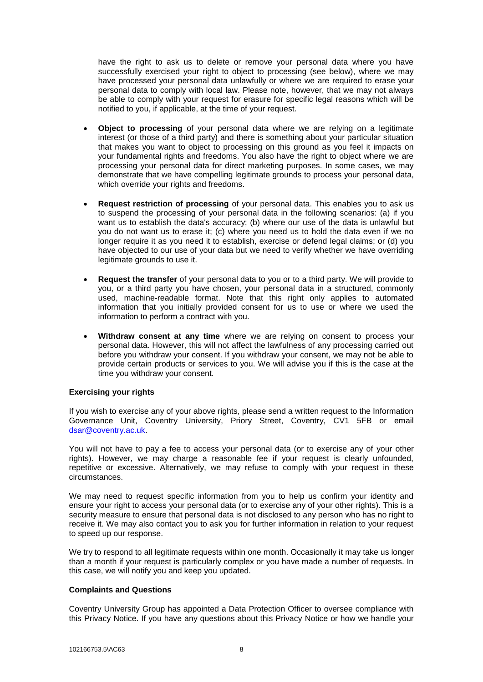have the right to ask us to delete or remove your personal data where you have successfully exercised your right to object to processing (see below), where we may have processed your personal data unlawfully or where we are required to erase your personal data to comply with local law. Please note, however, that we may not always be able to comply with your request for erasure for specific legal reasons which will be notified to you, if applicable, at the time of your request.

- **Object to processing** of your personal data where we are relying on a legitimate interest (or those of a third party) and there is something about your particular situation that makes you want to object to processing on this ground as you feel it impacts on your fundamental rights and freedoms. You also have the right to object where we are processing your personal data for direct marketing purposes. In some cases, we may demonstrate that we have compelling legitimate grounds to process your personal data, which override your rights and freedoms.
- **Request restriction of processing** of your personal data. This enables you to ask us to suspend the processing of your personal data in the following scenarios: (a) if you want us to establish the data's accuracy; (b) where our use of the data is unlawful but you do not want us to erase it; (c) where you need us to hold the data even if we no longer require it as you need it to establish, exercise or defend legal claims; or (d) you have objected to our use of your data but we need to verify whether we have overriding legitimate grounds to use it.
- **Request the transfer** of your personal data to you or to a third party. We will provide to you, or a third party you have chosen, your personal data in a structured, commonly used, machine-readable format. Note that this right only applies to automated information that you initially provided consent for us to use or where we used the information to perform a contract with you.
- **Withdraw consent at any time** where we are relying on consent to process your personal data. However, this will not affect the lawfulness of any processing carried out before you withdraw your consent. If you withdraw your consent, we may not be able to provide certain products or services to you. We will advise you if this is the case at the time you withdraw your consent.

## **Exercising your rights**

If you wish to exercise any of your above rights, please send a written request to the Information Governance Unit, Coventry University, Priory Street, Coventry, CV1 5FB or email [dsar@coventry.ac.uk.](mailto:dsar@coventry.ac.uk)

You will not have to pay a fee to access your personal data (or to exercise any of your other rights). However, we may charge a reasonable fee if your request is clearly unfounded, repetitive or excessive. Alternatively, we may refuse to comply with your request in these circumstances.

We may need to request specific information from you to help us confirm your identity and ensure your right to access your personal data (or to exercise any of your other rights). This is a security measure to ensure that personal data is not disclosed to any person who has no right to receive it. We may also contact you to ask you for further information in relation to your request to speed up our response.

We try to respond to all legitimate requests within one month. Occasionally it may take us longer than a month if your request is particularly complex or you have made a number of requests. In this case, we will notify you and keep you updated.

# **Complaints and Questions**

Coventry University Group has appointed a Data Protection Officer to oversee compliance with this Privacy Notice. If you have any questions about this Privacy Notice or how we handle your